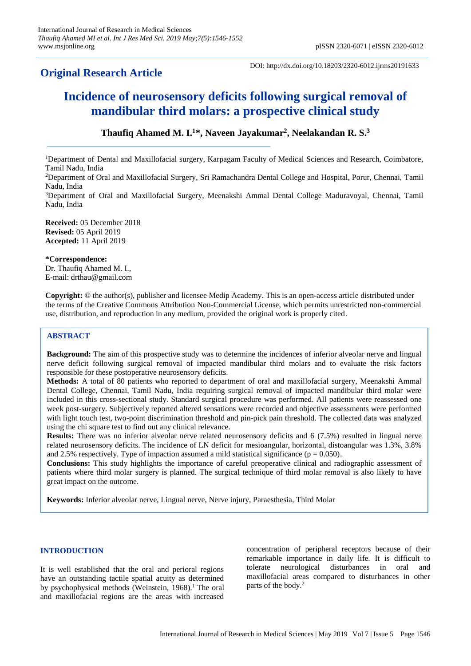# **Original Research Article**

DOI: http://dx.doi.org/10.18203/2320-6012.ijrms20191633

# **Incidence of neurosensory deficits following surgical removal of mandibular third molars: a prospective clinical study**

# **Thaufiq Ahamed M. I. <sup>1</sup>\*, Naveen Jayakumar<sup>2</sup> , Neelakandan R. S. 3**

<sup>1</sup>Department of Dental and Maxillofacial surgery, Karpagam Faculty of Medical Sciences and Research, Coimbatore, Tamil Nadu, India

<sup>2</sup>Department of Oral and Maxillofacial Surgery, Sri Ramachandra Dental College and Hospital, Porur, Chennai, Tamil Nadu, India

<sup>3</sup>Department of Oral and Maxillofacial Surgery, Meenakshi Ammal Dental College Maduravoyal, Chennai, Tamil Nadu, India

**Received:** 05 December 2018 **Revised:** 05 April 2019 **Accepted:** 11 April 2019

#### **\*Correspondence:**

Dr. Thaufiq Ahamed M. I., E-mail: drthau@gmail.com

**Copyright:** © the author(s), publisher and licensee Medip Academy. This is an open-access article distributed under the terms of the Creative Commons Attribution Non-Commercial License, which permits unrestricted non-commercial use, distribution, and reproduction in any medium, provided the original work is properly cited.

## **ABSTRACT**

**Background:** The aim of this prospective study was to determine the incidences of inferior alveolar nerve and lingual nerve deficit following surgical removal of impacted mandibular third molars and to evaluate the risk factors responsible for these postoperative neurosensory deficits.

**Methods:** A total of 80 patients who reported to department of oral and maxillofacial surgery, Meenakshi Ammal Dental College, Chennai, Tamil Nadu, India requiring surgical removal of impacted mandibular third molar were included in this cross-sectional study. Standard surgical procedure was performed. All patients were reassessed one week post-surgery. Subjectively reported altered sensations were recorded and objective assessments were performed with light touch test, two-point discrimination threshold and pin-pick pain threshold. The collected data was analyzed using the chi square test to find out any clinical relevance.

**Results:** There was no inferior alveolar nerve related neurosensory deficits and 6 (7.5%) resulted in lingual nerve related neurosensory deficits. The incidence of LN deficit for mesioangular, horizontal, distoangular was 1.3%, 3.8% and 2.5% respectively. Type of impaction assumed a mild statistical significance ( $p = 0.050$ ).

**Conclusions:** This study highlights the importance of careful preoperative clinical and radiographic assessment of patients where third molar surgery is planned. The surgical technique of third molar removal is also likely to have great impact on the outcome.

**Keywords:** Inferior alveolar nerve, Lingual nerve, Nerve injury, Paraesthesia, Third Molar

#### **INTRODUCTION**

It is well established that the oral and perioral regions have an outstanding tactile spatial acuity as determined by psychophysical methods (Weinstein, 1968).<sup>1</sup> The oral and maxillofacial regions are the areas with increased concentration of peripheral receptors because of their remarkable importance in daily life. It is difficult to tolerate neurological disturbances in oral and maxillofacial areas compared to disturbances in other parts of the body.<sup>2</sup>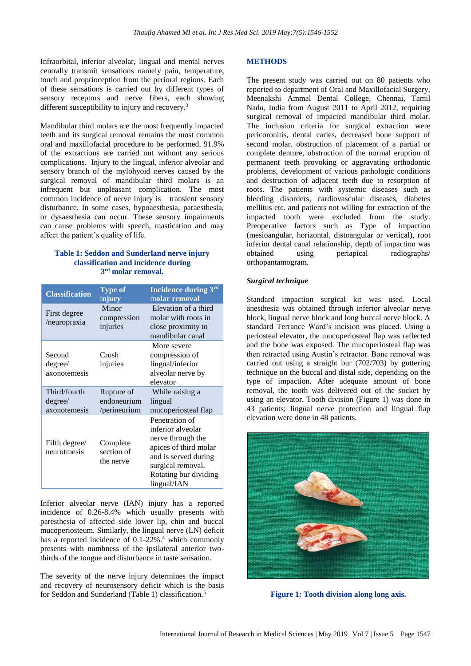Infraorbital, inferior alveolar, lingual and mental nerves centrally transmit sensations namely pain, temperature, touch and proprioception from the perioral regions. Each of these sensations is carried out by different types of sensory receptors and nerve fibers, each showing different susceptibility to injury and recovery.<sup>3</sup>

Mandibular third molars are the most frequently impacted teeth and its surgical removal remains the most common oral and maxillofacial procedure to be performed. 91.9% of the extractions are carried out without any serious complications. Injury to the lingual, inferior alveolar and sensory branch of the mylohyoid nerves caused by the surgical removal of mandibular third molars is an infrequent but unpleasant complication. The most common incidence of nerve injury is transient sensory disturbance. In some cases, hypoaesthesia, paraesthesia, or dysaesthesia can occur. These sensory impairments can cause problems with speech, mastication and may affect the patient's quality of life.

#### **Table 1: Seddon and Sunderland nerve injury classification and incidence during 3 rd molar removal.**

| <b>Classification</b>                   | <b>Type of</b><br>injury                  | <b>Incidence during 3rd</b><br>m <b>olar removal</b>                                                                                                                   |
|-----------------------------------------|-------------------------------------------|------------------------------------------------------------------------------------------------------------------------------------------------------------------------|
| First degree<br>/neuropraxia            | Minor<br>compression<br>injuries          | Elevation of a third<br>molar with roots in<br>close proximity to<br>mandibular canal                                                                                  |
| Second<br>degree/<br>axonotemesis       | Crush<br>injuries                         | More severe<br>compression of<br>lingual/inferior<br>alveolar nerve by<br>elevator                                                                                     |
| Third/fourth<br>degree/<br>axonotemesis | Rupture of<br>endoneurium<br>/perineurium | While raising a<br>lingual<br>mucoperiosteal flap                                                                                                                      |
| Fifth degree/<br>neurotmesis            | Complete<br>section of<br>the nerve       | Penetration of<br>inferior alveolar<br>nerve through the<br>apices of third molar<br>and is served during<br>surgical removal.<br>Rotating bur dividing<br>lingual/IAN |

Inferior alveolar nerve (IAN) injury has a reported incidence of 0.26-8.4% which usually presents with paresthesia of affected side lower lip, chin and buccal mucoperiosteum. Similarly, the lingual nerve (LN) deficit has a reported incidence of  $0.1$ -22%.<sup>4</sup> which commonly presents with numbness of the ipsilateral anterior twothirds of the tongue and disturbance in taste sensation.

The severity of the nerve injury determines the impact and recovery of neurosensory deficit which is the basis for Seddon and Sunderland (Table 1) classification.<sup>5</sup>

#### **METHODS**

The present study was carried out on 80 patients who reported to department of Oral and Maxillofacial Surgery, Meenakshi Ammal Dental College, Chennai, Tamil Nadu, India from August 2011 to April 2012, requiring surgical removal of impacted mandibular third molar. The inclusion criteria for surgical extraction were pericoronitis, dental caries, decreased bone support of second molar. obstruction of placement of a partial or complete denture, obstruction of the normal eruption of permanent teeth provoking or aggravating orthodontic problems, development of various pathologic conditions and destruction of adjacent teeth due to resorption of roots. The patients with systemic diseases such as bleeding disorders, cardiovascular diseases, diabetes mellitus etc. and patients not willing for extraction of the impacted tooth were excluded from the study. Preoperative factors such as Type of impaction (mesioangular, horizontal, distoangular or vertical), root inferior dental canal relationship, depth of impaction was obtained using periapical radiographs/ orthopantamogram.

#### *Surgical technique*

Standard impaction surgical kit was used. Local anesthesia was obtained through inferior alveolar nerve block, lingual nerve block and long buccal nerve block. A standard Terrance Ward's incision was placed. Using a periosteal elevator, the mucoperiosteal flap was reflected and the bone was exposed. The mucoperiosteal flap was then retracted using Austin's retractor. Bone removal was carried out using a straight bur (702/703) by guttering technique on the buccal and distal side, depending on the type of impaction. After adequate amount of bone removal, the tooth was delivered out of the socket by using an elevator. Tooth division (Figure 1) was done in 43 patients; lingual nerve protection and lingual flap elevation were done in 48 patients.



**Figure 1: Tooth division along long axis.**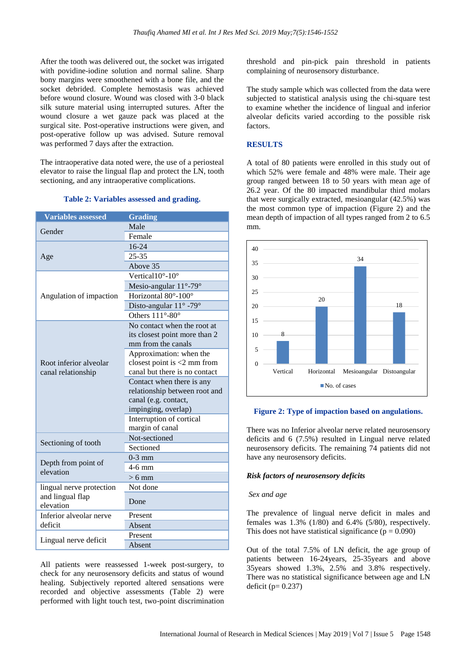After the tooth was delivered out, the socket was irrigated with povidine-iodine solution and normal saline. Sharp bony margins were smoothened with a bone file, and the socket debrided. Complete hemostasis was achieved before wound closure. Wound was closed with 3-0 black silk suture material using interrupted sutures. After the wound closure a wet gauze pack was placed at the surgical site. Post-operative instructions were given, and post-operative follow up was advised. Suture removal was performed 7 days after the extraction.

The intraoperative data noted were, the use of a periosteal elevator to raise the lingual flap and protect the LN, tooth sectioning, and any intraoperative complications.

#### **Table 2: Variables assessed and grading.**

| <b>Variables assessed</b>     | Grading                        |  |
|-------------------------------|--------------------------------|--|
| Gender                        | Male                           |  |
|                               | Female                         |  |
|                               | $16-24$                        |  |
| Age                           | $25 - 35$                      |  |
|                               | Above 35                       |  |
|                               | Vertical10°-10°                |  |
|                               | Mesio-angular 11°-79°          |  |
| Angulation of impaction       | Horizontal 80°-100°            |  |
|                               | Disto-angular 11°-79°          |  |
|                               | Others $111^\circ - 80^\circ$  |  |
|                               | No contact when the root at    |  |
|                               | its closest point more than 2  |  |
|                               | mm from the canals             |  |
|                               | Approximation: when the        |  |
| Root inferior alveolar        | closest point is $<$ 2 mm from |  |
| canal relationship            | canal but there is no contact  |  |
|                               | Contact when there is any      |  |
|                               | relationship between root and  |  |
|                               | canal (e.g. contact,           |  |
|                               | impinging, overlap)            |  |
|                               | Interruption of cortical       |  |
|                               | margin of canal                |  |
| Sectioning of tooth           | Not-sectioned                  |  |
|                               | Sectioned                      |  |
| Depth from point of           | $0-3$ mm                       |  |
| elevation                     | $4-6$ mm                       |  |
|                               | $> 6 \text{ mm}$               |  |
| lingual nerve protection      | Not done                       |  |
| and lingual flap<br>elevation | Done                           |  |
| Inferior alveolar nerve       | Present                        |  |
| deficit                       | Absent                         |  |
|                               | Present                        |  |
| Lingual nerve deficit         | Absent                         |  |

All patients were reassessed 1-week post-surgery, to check for any neurosensory deficits and status of wound healing. Subjectively reported altered sensations were recorded and objective assessments (Table 2) were performed with light touch test, two-point discrimination

threshold and pin-pick pain threshold in patients complaining of neurosensory disturbance.

The study sample which was collected from the data were subjected to statistical analysis using the chi-square test to examine whether the incidence of lingual and inferior alveolar deficits varied according to the possible risk factors.

#### **RESULTS**

A total of 80 patients were enrolled in this study out of which 52% were female and 48% were male. Their age group ranged between 18 to 50 years with mean age of 26.2 year. Of the 80 impacted mandibular third molars that were surgically extracted, mesioangular (42.5%) was the most common type of impaction (Figure 2) and the mean depth of impaction of all types ranged from 2 to 6.5 mm.



#### **Figure 2: Type of impaction based on angulations.**

There was no Inferior alveolar nerve related neurosensory deficits and 6 (7.5%) resulted in Lingual nerve related neurosensory deficits. The remaining 74 patients did not have any neurosensory deficits.

#### *Risk factors of neurosensory deficits*

#### *Sex and age*

The prevalence of lingual nerve deficit in males and females was 1.3% (1/80) and 6.4% (5/80), respectively. This does not have statistical significance ( $p = 0.090$ )

Out of the total 7.5% of LN deficit, the age group of patients between 16-24years, 25-35years and above 35years showed 1.3%, 2.5% and 3.8% respectively. There was no statistical significance between age and LN deficit ( $p= 0.237$ )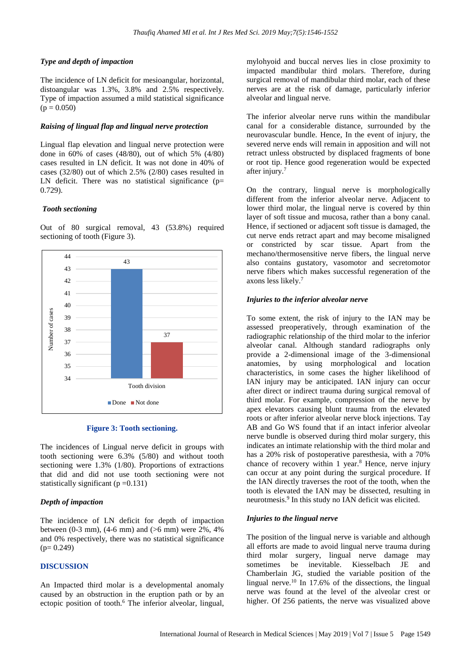#### *Type and depth of impaction*

The incidence of LN deficit for mesioangular, horizontal, distoangular was 1.3%, 3.8% and 2.5% respectively. Type of impaction assumed a mild statistical significance  $(p = 0.050)$ 

#### *Raising of lingual flap and lingual nerve protection*

Lingual flap elevation and lingual nerve protection were done in 60% of cases (48/80), out of which 5% (4/80) cases resulted in LN deficit. It was not done in 40% of cases (32/80) out of which 2.5% (2/80) cases resulted in LN deficit. There was no statistical significance  $(p=$ 0.729).

### *Tooth sectioning*

Out of 80 surgical removal, 43 (53.8%) required sectioning of tooth (Figure 3).



**Figure 3: Tooth sectioning.**

The incidences of Lingual nerve deficit in groups with tooth sectioning were 6.3% (5/80) and without tooth sectioning were 1.3% (1/80). Proportions of extractions that did and did not use tooth sectioning were not statistically significant ( $p = 0.131$ )

#### *Depth of impaction*

The incidence of LN deficit for depth of impaction between (0-3 mm), (4-6 mm) and (>6 mm) were 2%, 4% and 0% respectively, there was no statistical significance  $(p= 0.249)$ 

# **DISCUSSION**

An Impacted third molar is a developmental anomaly caused by an obstruction in the eruption path or by an ectopic position of tooth.<sup>6</sup> The inferior alveolar, lingual, mylohyoid and buccal nerves lies in close proximity to impacted mandibular third molars. Therefore, during surgical removal of mandibular third molar, each of these nerves are at the risk of damage, particularly inferior alveolar and lingual nerve.

The inferior alveolar nerve runs within the mandibular canal for a considerable distance, surrounded by the neurovascular bundle. Hence, In the event of injury, the severed nerve ends will remain in apposition and will not retract unless obstructed by displaced fragments of bone or root tip. Hence good regeneration would be expected after injury.<sup>7</sup>

On the contrary, lingual nerve is morphologically different from the inferior alveolar nerve. Adjacent to lower third molar, the lingual nerve is covered by thin layer of soft tissue and mucosa, rather than a bony canal. Hence, if sectioned or adjacent soft tissue is damaged, the cut nerve ends retract apart and may become misaligned or constricted by scar tissue. Apart from the mechano/thermosensitive nerve fibers, the lingual nerve also contains gustatory, vasomotor and secretomotor nerve fibers which makes successful regeneration of the axons less likely.<sup>7</sup>

#### *Injuries to the inferior alveolar nerve*

To some extent, the risk of injury to the IAN may be assessed preoperatively, through examination of the radiographic relationship of the third molar to the inferior alveolar canal. Although standard radiographs only provide a 2-dimensional image of the 3-dimensional anatomies, by using morphological and location characteristics, in some cases the higher likelihood of IAN injury may be anticipated. IAN injury can occur after direct or indirect trauma during surgical removal of third molar. For example, compression of the nerve by apex elevators causing blunt trauma from the elevated roots or after inferior alveolar nerve block injections. Tay AB and Go WS found that if an intact inferior alveolar nerve bundle is observed during third molar surgery, this indicates an intimate relationship with the third molar and has a 20% risk of postoperative paresthesia, with a 70% chance of recovery within 1 year.<sup>8</sup> Hence, nerve injury can occur at any point during the surgical procedure. If the IAN directly traverses the root of the tooth, when the tooth is elevated the IAN may be dissected, resulting in neurotmesis. 9 In this study no IAN deficit was elicited.

#### *Injuries to the lingual nerve*

The position of the lingual nerve is variable and although all efforts are made to avoid lingual nerve trauma during third molar surgery, lingual nerve damage may sometimes be inevitable. Kiesselbach JE and Chamberlain JG, studied the variable position of the lingual nerve.<sup>10</sup> In 17.6% of the dissections, the lingual nerve was found at the level of the alveolar crest or higher. Of 256 patients, the nerve was visualized above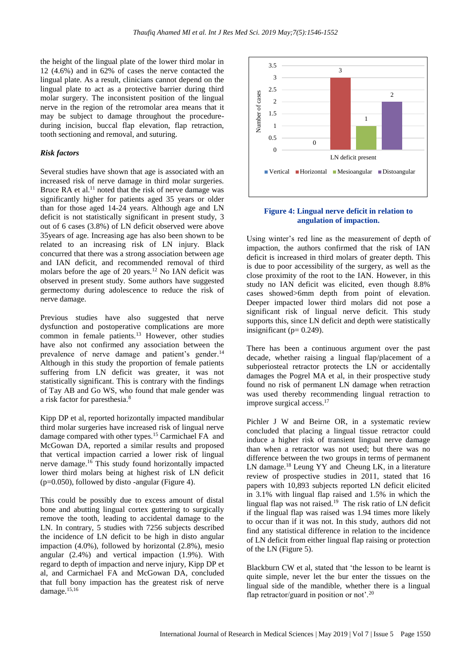the height of the lingual plate of the lower third molar in 12 (4.6%) and in 62% of cases the nerve contacted the lingual plate. As a result, clinicians cannot depend on the lingual plate to act as a protective barrier during third molar surgery. The inconsistent position of the lingual nerve in the region of the retromolar area means that it may be subject to damage throughout the procedureduring incision, buccal flap elevation, flap retraction, tooth sectioning and removal, and suturing.

#### *Risk factors*

Several studies have shown that age is associated with an increased risk of nerve damage in third molar surgeries. Bruce  $RA$  et al.<sup>11</sup> noted that the risk of nerve damage was significantly higher for patients aged 35 years or older than for those aged 14-24 years. Although age and LN deficit is not statistically significant in present study, 3 out of 6 cases (3.8%) of LN deficit observed were above 35years of age. Increasing age has also been shown to be related to an increasing risk of LN injury. Black concurred that there was a strong association between age and IAN deficit, and recommended removal of third molars before the age of 20 years.<sup>12</sup> No IAN deficit was observed in present study. Some authors have suggested germectomy during adolescence to reduce the risk of nerve damage.

Previous studies have also suggested that nerve dysfunction and postoperative complications are more common in female patients.<sup>13</sup> However, other studies have also not confirmed any association between the prevalence of nerve damage and patient's gender.<sup>14</sup> Although in this study the proportion of female patients suffering from LN deficit was greater, it was not statistically significant. This is contrary with the findings of Tay AB and Go WS, who found that male gender was a risk factor for paresthesia.<sup>8</sup>

Kipp DP et al, reported horizontally impacted mandibular third molar surgeries have increased risk of lingual nerve damage compared with other types.<sup>15</sup> Carmichael FA and McGowan DA, reported a similar results and proposed that vertical impaction carried a lower risk of lingual nerve damage.<sup>16</sup> This study found horizontally impacted lower third molars being at highest risk of LN deficit  $(p=0.050)$ , followed by disto-angular (Figure 4).

This could be possibly due to excess amount of distal bone and abutting lingual cortex guttering to surgically remove the tooth, leading to accidental damage to the LN. In contrary, 5 studies with 7256 subjects described the incidence of LN deficit to be high in disto angular impaction (4.0%), followed by horizontal (2.8%), mesio angular (2.4%) and vertical impaction (1.9%). With regard to depth of impaction and nerve injury, Kipp DP et al, and Carmichael FA and McGowan DA, concluded that full bony impaction has the greatest risk of nerve damage.<sup>15,16</sup>



#### **Figure 4: Lingual nerve deficit in relation to angulation of impaction.**

Using winter's red line as the measurement of depth of impaction, the authors confirmed that the risk of IAN deficit is increased in third molars of greater depth. This is due to poor accessibility of the surgery, as well as the close proximity of the root to the IAN. However, in this study no IAN deficit was elicited, even though 8.8% cases showed>6mm depth from point of elevation. Deeper impacted lower third molars did not pose a significant risk of lingual nerve deficit. This study supports this, since LN deficit and depth were statistically insignificant ( $p= 0.249$ ).

There has been a continuous argument over the past decade, whether raising a lingual flap/placement of a subperiosteal retractor protects the LN or accidentally damages the Pogrel MA et al, in their prospective study found no risk of permanent LN damage when retraction was used thereby recommending lingual retraction to improve surgical access. 17

Pichler J W and Beirne OR, in a systematic review concluded that placing a lingual tissue retractor could induce a higher risk of transient lingual nerve damage than when a retractor was not used; but there was no difference between the two groups in terms of permanent LN damage.<sup>18</sup> Leung YY and Cheung LK, in a literature review of prospective studies in 2011, stated that 16 papers with 10,893 subjects reported LN deficit elicited in 3.1% with lingual flap raised and 1.5% in which the lingual flap was not raised.<sup>19</sup> The risk ratio of LN deficit if the lingual flap was raised was 1.94 times more likely to occur than if it was not. In this study, authors did not find any statistical difference in relation to the incidence of LN deficit from either lingual flap raising or protection of the LN (Figure 5).

Blackburn CW et al, stated that 'the lesson to be learnt is quite simple, never let the bur enter the tissues on the lingual side of the mandible, whether there is a lingual flap retractor/guard in position or not'.<sup>20</sup>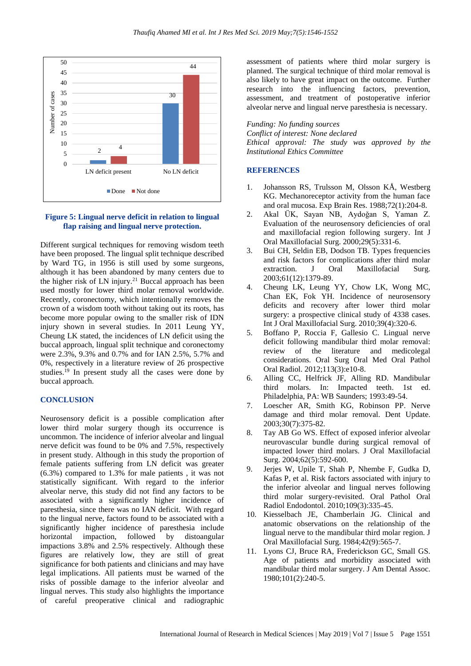

#### **Figure 5: Lingual nerve deficit in relation to lingual flap raising and lingual nerve protection.**

Different surgical techniques for removing wisdom teeth have been proposed. The lingual split technique described by Ward TG, in 1956 is still used by some surgeons, although it has been abandoned by many centers due to the higher risk of LN injury.<sup>21</sup> Buccal approach has been used mostly for lower third molar removal worldwide. Recently, coronectomy, which intentionally removes the crown of a wisdom tooth without taking out its roots, has become more popular owing to the smaller risk of IDN injury shown in several studies. In 2011 Leung YY, Cheung LK stated, the incidences of LN deficit using the buccal approach, lingual split technique and coronectomy were 2.3%, 9.3% and 0.7% and for IAN 2.5%, 5.7% and 0%, respectively in a literature review of 26 prospective studies. <sup>19</sup> In present study all the cases were done by buccal approach.

#### **CONCLUSION**

Neurosensory deficit is a possible complication after lower third molar surgery though its occurrence is uncommon. The incidence of inferior alveolar and lingual nerve deficit was found to be 0% and 7.5%, respectively in present study. Although in this study the proportion of female patients suffering from LN deficit was greater (6.3%) compared to 1.3% for male patients , it was not statistically significant. With regard to the inferior alveolar nerve, this study did not find any factors to be associated with a significantly higher incidence of paresthesia, since there was no IAN deficit. With regard to the lingual nerve, factors found to be associated with a significantly higher incidence of paresthesia include horizontal impaction, followed by distoangular impactions 3.8% and 2.5% respectively. Although these figures are relatively low, they are still of great significance for both patients and clinicians and may have legal implications. All patients must be warned of the risks of possible damage to the inferior alveolar and lingual nerves. This study also highlights the importance of careful preoperative clinical and radiographic

assessment of patients where third molar surgery is planned. The surgical technique of third molar removal is also likely to have great impact on the outcome. Further research into the influencing factors, prevention, assessment, and treatment of postoperative inferior alveolar nerve and lingual nerve paresthesia is necessary.

*Funding: No funding sources Conflict of interest: None declared Ethical approval: The study was approved by the Institutional Ethics Committee*

#### **REFERENCES**

- 1. Johansson RS, Trulsson M, Olsson KÅ, Westberg KG. Mechanoreceptor activity from the human face and oral mucosa. Exp Brain Res. 1988;72(1):204-8.
- 2. Akal ÜK, Sayan NB, Aydoǧan S, Yaman Z. Evaluation of the neurosensory deficiencies of oral and maxillofacial region following surgery. Int J Oral Maxillofacial Surg. 2000;29(5):331-6.
- 3. Bui CH, Seldin EB, Dodson TB. Types frequencies and risk factors for complications after third molar extraction. J Oral Maxillofacial Surg. 2003;61(12):1379-89.
- 4. Cheung LK, Leung YY, Chow LK, Wong MC, Chan EK, Fok YH. Incidence of neurosensory deficits and recovery after lower third molar surgery: a prospective clinical study of 4338 cases. Int J Oral Maxillofacial Surg. 2010;39(4):320-6.
- 5. Boffano P, Roccia F, Gallesio C. Lingual nerve deficit following mandibular third molar removal: review of the literature and medicolegal considerations. Oral Surg Oral Med Oral Pathol Oral Radiol. 2012;113(3):e10-8.
- 6. Alling CC, Helfrick JF, Alling RD. Mandibular third molars. In: Impacted teeth. 1st ed. Philadelphia, PA: WB Saunders; 1993:49-54.
- 7. Loescher AR, Smith KG, Robinson PP. Nerve damage and third molar removal. Dent Update. 2003;30(7):375-82.
- 8. Tay AB Go WS. Effect of exposed inferior alveolar neurovascular bundle during surgical removal of impacted lower third molars. J Oral Maxillofacial Surg. 2004;62(5):592-600.
- 9. Jerjes W, Upile T, Shah P, Nhembe F, Gudka D, Kafas P, et al. Risk factors associated with injury to the inferior alveolar and lingual nerves following third molar surgery-revisited. Oral Pathol Oral Radiol Endodontol. 2010;109(3):335-45.
- 10. Kiesselbach JE, Chamberlain JG. Clinical and anatomic observations on the relationship of the lingual nerve to the mandibular third molar region. J Oral Maxillofacial Surg. 1984;42(9):565-7.
- 11. Lyons CJ, Bruce RA, Frederickson GC, Small GS. Age of patients and morbidity associated with mandibular third molar surgery. J Am Dental Assoc. 1980;101(2):240-5.